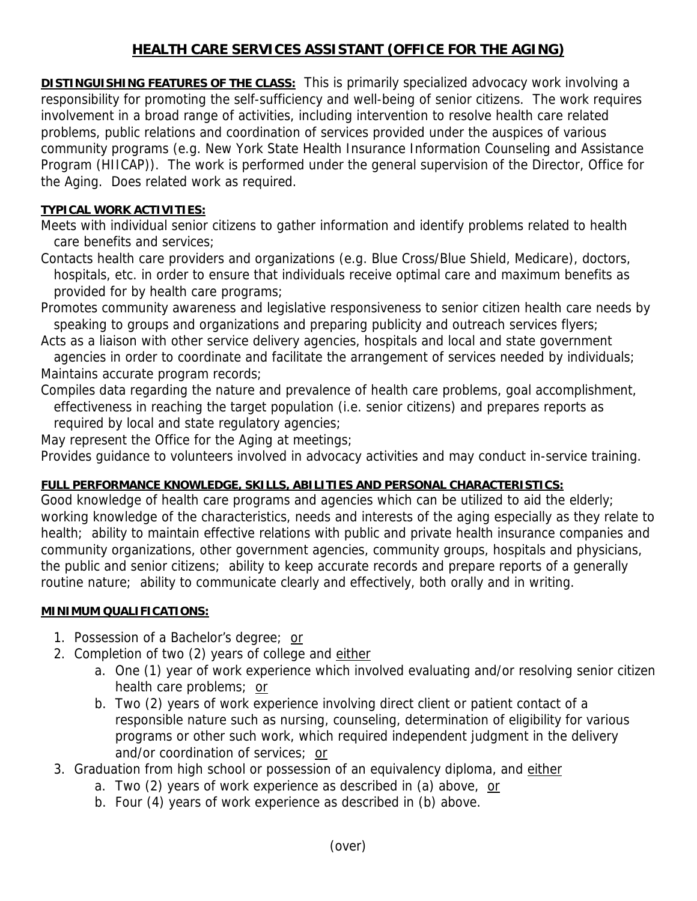# **HEALTH CARE SERVICES ASSISTANT (OFFICE FOR THE AGING)**

**DISTINGUISHING FEATURES OF THE CLASS:** This is primarily specialized advocacy work involving a responsibility for promoting the self-sufficiency and well-being of senior citizens. The work requires involvement in a broad range of activities, including intervention to resolve health care related problems, public relations and coordination of services provided under the auspices of various community programs (e.g. New York State Health Insurance Information Counseling and Assistance Program (HIICAP)). The work is performed under the general supervision of the Director, Office for the Aging. Does related work as required.

## **TYPICAL WORK ACTIVITIES:**

Meets with individual senior citizens to gather information and identify problems related to health care benefits and services;

Contacts health care providers and organizations (e.g. Blue Cross/Blue Shield, Medicare), doctors, hospitals, etc. in order to ensure that individuals receive optimal care and maximum benefits as provided for by health care programs;

Promotes community awareness and legislative responsiveness to senior citizen health care needs by speaking to groups and organizations and preparing publicity and outreach services flyers;

Acts as a liaison with other service delivery agencies, hospitals and local and state government agencies in order to coordinate and facilitate the arrangement of services needed by individuals; Maintains accurate program records;

Compiles data regarding the nature and prevalence of health care problems, goal accomplishment, effectiveness in reaching the target population (i.e. senior citizens) and prepares reports as required by local and state regulatory agencies;

May represent the Office for the Aging at meetings;

Provides guidance to volunteers involved in advocacy activities and may conduct in-service training.

### **FULL PERFORMANCE KNOWLEDGE, SKILLS, ABILITIES AND PERSONAL CHARACTERISTICS:**

Good knowledge of health care programs and agencies which can be utilized to aid the elderly; working knowledge of the characteristics, needs and interests of the aging especially as they relate to health; ability to maintain effective relations with public and private health insurance companies and community organizations, other government agencies, community groups, hospitals and physicians, the public and senior citizens; ability to keep accurate records and prepare reports of a generally routine nature; ability to communicate clearly and effectively, both orally and in writing.

### **MINIMUM QUALIFICATIONS:**

- 1. Possession of a Bachelor's degree; or
- 2. Completion of two (2) years of college and either
	- a. One (1) year of work experience which involved evaluating and/or resolving senior citizen health care problems; or
	- b. Two (2) years of work experience involving direct client or patient contact of a responsible nature such as nursing, counseling, determination of eligibility for various programs or other such work, which required independent judgment in the delivery and/or coordination of services; or
- 3. Graduation from high school or possession of an equivalency diploma, and either
	- a. Two (2) years of work experience as described in (a) above, or
	- b. Four (4) years of work experience as described in (b) above.